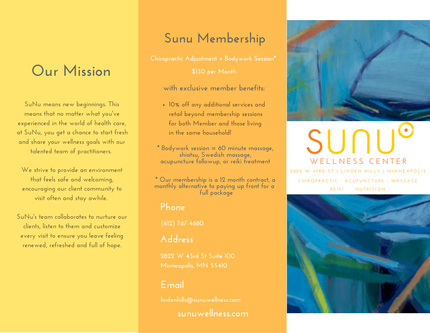# **Our Mission**

**SuNu means new beginnings. This means that no matter what you 've experienced in the world of health care, at SuNu, you get a chance to start fresh and share your wellness goals with our talented team of practitioners.**

**We strive to provide an environment that feels safe and welcoming, encouraging our client community to visit often and stay awhile.**

**SuNu 's team collaborates to nurture our clients, listen to them and customize every visit to ensure you leave feeling renewed, refreshed and full of hope.**

# **Sunu Membership**

**\$130 per Month**

**with exclusive member benefits:**

**10% off any additional services and retail beyond membership sessions for both Member and those living in the same household!**

**\* Bodywork session = 60 minute massage, shiatsu, Swedish massage, acupuncture followup, or reiki treatment**

**\* Our membership is a 12 month contract, a monthly alternative to paying up front for a full package**

### **Phone**

**(612) 767-4680**

## **Address**

**2822 W 43rd St Suite 100**

## **Email**

**lindenhills@sunuwellness.com sunuwellness.com**



# SUNL **W E L L N E S S C E N T E R** 2822 W 43RD ST | LINDEN HILLS | MINNEAPOLIS CHIROPRACTIC ACUPUNCTURE MASSAGE

**R E I K I N U T R I T I O N**